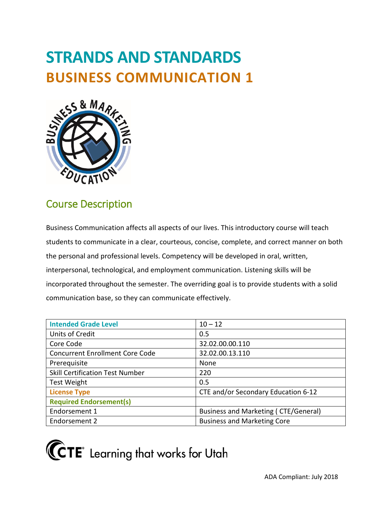# **STRANDS AND STANDARDS BUSINESS COMMUNICATION 1**



# Course Description

 students to communicate in a clear, courteous, concise, complete, and correct manner on both incorporated throughout the semester. The overriding goal is to provide students with a solid Business Communication affects all aspects of our lives. This introductory course will teach the personal and professional levels. Competency will be developed in oral, written, interpersonal, technological, and employment communication. Listening skills will be communication base, so they can communicate effectively.

| <b>Intended Grade Level</b>            | $10 - 12$                            |
|----------------------------------------|--------------------------------------|
| Units of Credit                        | 0.5                                  |
| Core Code                              | 32.02.00.00.110                      |
| <b>Concurrent Enrollment Core Code</b> | 32.02.00.13.110                      |
| Prerequisite                           | None                                 |
| <b>Skill Certification Test Number</b> | 220                                  |
| <b>Test Weight</b>                     | 0.5                                  |
| <b>License Type</b>                    | CTE and/or Secondary Education 6-12  |
| <b>Required Endorsement(s)</b>         |                                      |
| Endorsement 1                          | Business and Marketing (CTE/General) |
| Endorsement 2                          | <b>Business and Marketing Core</b>   |

**(CTE** Learning that works for Utah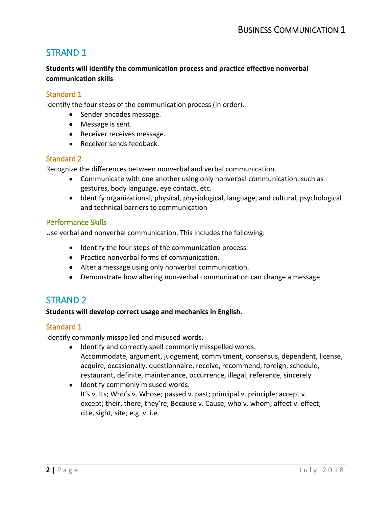# STRAND 1

# **Students will identify the communication process and practice effective nonverbal communication skills**

## Standard 1

Identify the four steps of the communication process (in order).

- Sender encodes message.
- Message is sent.
- Receiver receives message.
- Receiver sends feedback.

#### Standard 2

Recognize the differences between nonverbal and verbal communication.

- • Communicate with one another using only nonverbal communication, such as gestures, body language, eye contact, etc.
- and technical barriers to communication • Identify organizational, physical, physiological, language, and cultural, psychological

## Performance Skills

Use verbal and nonverbal communication. This includes the following:

- Identify the four steps of the communication process.
- Practice nonverbal forms of communication.
- Alter a message using only nonverbal communication.
- Demonstrate how altering non-verbal communication can change a message.

# STRAND 2

#### **Students will develop correct usage and mechanics in English.**

## Standard 1

Identify commonly misspelled and misused words.

- Identify and correctly spell commonly misspelled words. Accommodate, argument, judgement, commitment, consensus, dependent, license, acquire, occasionally, questionnaire, receive, recommend, foreign, schedule, restaurant, definite, maintenance, occurrence, illegal, reference, sincerely
- Identify commonly misused words. It's v. Its; Who's v. Whose; passed v. past; principal v. principle; accept v. except; their, there, they're; Because v. Cause; who v. whom; affect v. effect; cite, sight, site; e.g. v. i.e.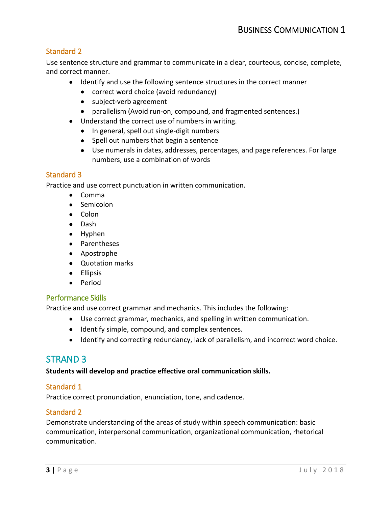Use sentence structure and grammar to communicate in a clear, courteous, concise, complete, and correct manner.

- Identify and use the following sentence structures in the correct manner
	- correct word choice (avoid redundancy)
	- subject-verb agreement
	- parallelism (Avoid run-on, compound, and fragmented sentences.)
- Understand the correct use of numbers in writing.
	- In general, spell out single-digit numbers
	- Spell out numbers that begin a sentence
	- • Use numerals in dates, addresses, percentages, and page references. For large numbers, use a combination of words

## Standard 3

Practice and use correct punctuation in written communication.

- Comma
- Semicolon
- Colon
- Dash
- Hyphen
- Parentheses
- Apostrophe
- Quotation marks
- Ellipsis
- Period

## Performance Skills

Practice and use correct grammar and mechanics. This includes the following:

- Use correct grammar, mechanics, and spelling in written communication.
- Identify simple, compound, and complex sentences.
- Identify and correcting redundancy, lack of parallelism, and incorrect word choice.

# STRAND 3

#### **Students will develop and practice effective oral communication skills.**

## Standard 1

Practice correct pronunciation, enunciation, tone, and cadence.

## Standard 2

Demonstrate understanding of the areas of study within speech communication: basic communication, interpersonal communication, organizational communication, rhetorical communication.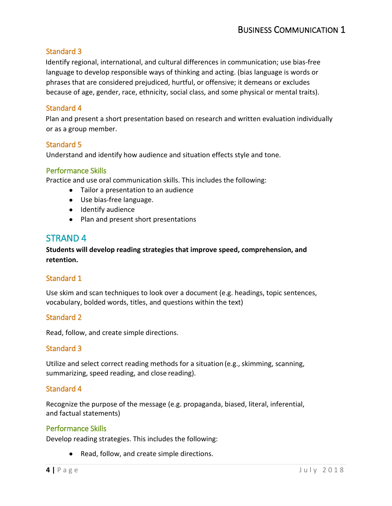Identify regional, international, and cultural differences in communication; use bias-free language to develop responsible ways of thinking and acting. (bias language is words or phrases that are considered prejudiced, hurtful, or offensive; it demeans or excludes because of age, gender, race, ethnicity, social class, and some physical or mental traits).

## Standard 4

Plan and present a short presentation based on research and written evaluation individually or as a group member.

## Standard 5

Understand and identify how audience and situation effects style and tone.

#### Performance Skills

Practice and use oral communication skills. This includes the following:

- Tailor a presentation to an audience
- Use bias-free language.
- Identify audience
- Plan and present short presentations

# STRAND 4

## **Students will develop reading strategies that improve speed, comprehension, and retention.**

## Standard 1

Use skim and scan techniques to look over a document (e.g. headings, topic sentences, vocabulary, bolded words, titles, and questions within the text)

## Standard 2

Read, follow, and create simple directions.

#### Standard 3

 Utilize and select correct reading methods for a situation (e.g., skimming, scanning, summarizing, speed reading, and close reading).

#### Standard 4

 Recognize the purpose of the message (e.g. propaganda, biased, literal, inferential, and factual statements)

#### Performance Skills

Develop reading strategies. This includes the following:

• Read, follow, and create simple directions.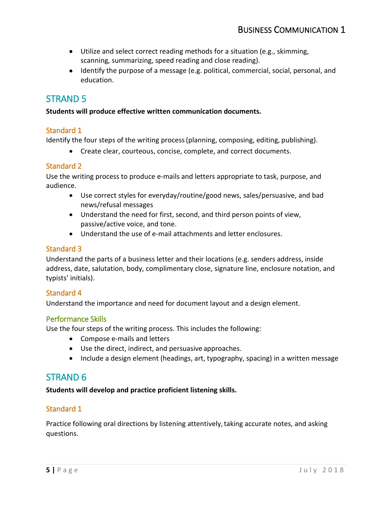- Utilize and select correct reading methods for a situation (e.g., skimming, scanning, summarizing, speed reading and close reading).
- Identify the purpose of a message (e.g. political, commercial, social, personal, and education.

# STRAND 5

#### **Students will produce effective written communication documents.**

## Standard 1

Identify the four steps of the writing process (planning, composing, editing, publishing).

• Create clear, courteous, concise, complete, and correct documents.

## Standard 2

Use the writing process to produce e-mails and letters appropriate to task, purpose, and audience.

- Use correct styles for everyday/routine/good news, sales/persuasive, and bad news/refusal messages
- • Understand the need for first, second, and third person points of view, passive/active voice, and tone.
- Understand the use of e-mail attachments and letter enclosures.

## Standard 3

Understand the parts of a business letter and their locations (e.g. senders address, inside address, date, salutation, body, complimentary close, signature line, enclosure notation, and typists' initials).

## Standard 4

Understand the importance and need for document layout and a design element.

## Performance Skills

Use the four steps of the writing process. This includes the following:

- Compose e-mails and letters
- Use the direct, indirect, and persuasive approaches.
- Include a design element (headings, art, typography, spacing) in a written message

# STRAND 6

 **Students will develop and practice proficient listening skills.** 

# Standard 1

 Practice following oral directions by listening attentively, taking accurate notes, and asking questions.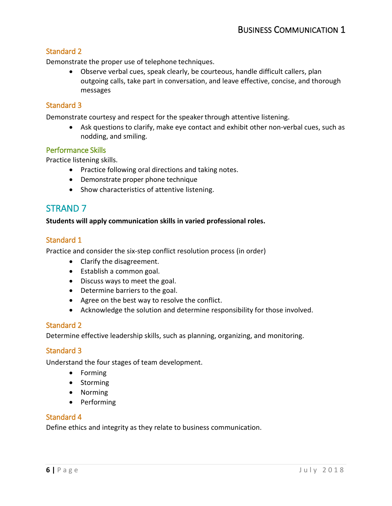Demonstrate the proper use of telephone techniques.

 • Observe verbal cues, speak clearly, be courteous, handle difficult callers, plan outgoing calls, take part in conversation, and leave effective, concise, and thorough messages

## Standard 3

Demonstrate courtesy and respect for the speaker through attentive listening.

 • Ask questions to clarify, make eye contact and exhibit other non-verbal cues, such as nodding, and smiling.

#### Performance Skills

Practice listening skills.

- Practice following oral directions and taking notes.
- Demonstrate proper phone technique
- Show characteristics of attentive listening.

# STRAND 7

#### **Students will apply communication skills in varied professional roles.**

#### Standard 1

Practice and consider the six-step conflict resolution process (in order)

- Clarify the disagreement.
- Establish a common goal.
- Discuss ways to meet the goal.
- Determine barriers to the goal.
- Agree on the best way to resolve the conflict.
- Acknowledge the solution and determine responsibility for those involved.

#### Standard 2

Determine effective leadership skills, such as planning, organizing, and monitoring.

## Standard 3

Understand the four stages of team development.

- Forming
- Storming
- Norming
- Performing

#### Standard 4

Define ethics and integrity as they relate to business communication.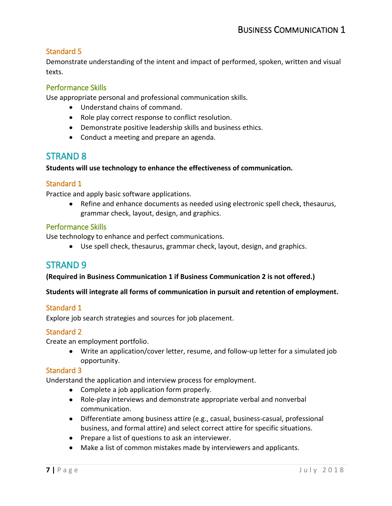Demonstrate understanding of the intent and impact of performed, spoken, written and visual texts.

# Performance Skills

Use appropriate personal and professional communication skills.

- Understand chains of command.
- Role play correct response to conflict resolution.
- Demonstrate positive leadership skills and business ethics.
- Conduct a meeting and prepare an agenda.

# STRAND 8

#### **Students will use technology to enhance the effectiveness of communication.**

#### Standard 1

Practice and apply basic software applications.

• Refine and enhance documents as needed using electronic spell check, thesaurus, grammar check, layout, design, and graphics.

#### Performance Skills

Use technology to enhance and perfect communications.

• Use spell check, thesaurus, grammar check, layout, design, and graphics.

# STRAND 9

#### **(Required in Business Communication 1 if Business Communication 2 is not offered.)**

#### **Students will integrate all forms of communication in pursuit and retention of employment.**

## Standard 1

Explore job search strategies and sources for job placement.

## Standard 2

Create an employment portfolio.

• Write an application/cover letter, resume, and follow-up letter for a simulated job opportunity.

#### Standard 3

Understand the application and interview process for employment.

- Complete a job application form properly.
- Role-play interviews and demonstrate appropriate verbal and nonverbal communication.
- Differentiate among business attire (e.g., casual, business-casual, professional business, and formal attire) and select correct attire for specific situations.
- Prepare a list of questions to ask an interviewer.
- Make a list of common mistakes made by interviewers and applicants.